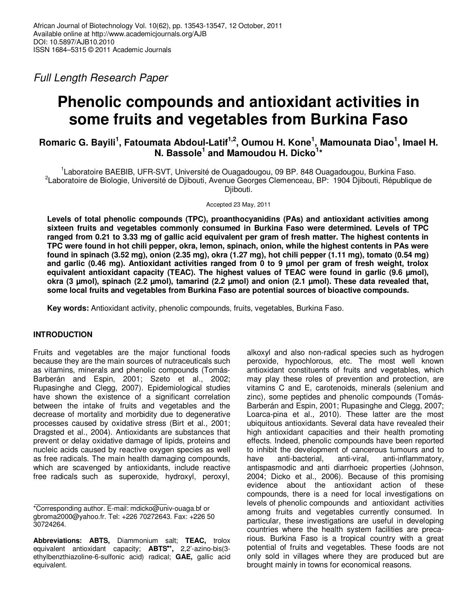Full Length Research Paper

# **Phenolic compounds and antioxidant activities in some fruits and vegetables from Burkina Faso**

# **Romaric G. Bayili<sup>1</sup> , Fatoumata Abdoul-Latif1,2, Oumou H. Kone<sup>1</sup> , Mamounata Diao<sup>1</sup> , Imael H. N. Bassole<sup>1</sup> and Mamoudou H. Dicko<sup>1</sup> \***

<sup>1</sup> Laboratoire BAEBIB, UFR-SVT, Université de Ouagadougou, 09 BP. 848 Ouagadougou, Burkina Faso. <sup>2</sup>Laboratoire de Biologie, Université de Djibouti, Avenue Georges Clemenceau, BP: 1904 Djibouti, République de Djibouti.

Accepted 23 May, 2011

**Levels of total phenolic compounds (TPC), proanthocyanidins (PAs) and antioxidant activities among sixteen fruits and vegetables commonly consumed in Burkina Faso were determined. Levels of TPC ranged from 0.21 to 3.33 mg of gallic acid equivalent per gram of fresh matter. The highest contents in TPC were found in hot chili pepper, okra, lemon, spinach, onion, while the highest contents in PAs were found in spinach (3.52 mg), onion (2.35 mg), okra (1.27 mg), hot chili pepper (1.11 mg), tomato (0.54 mg) and garlic (0.46 mg). Antioxidant activities ranged from 0 to 9 µmol per gram of fresh weight, trolox**  equivalent antioxidant capacity (TEAC). The highest values of TEAC were found in garlic (9.6 µmol), **okra (3 µmol), spinach (2.2 µmol), tamarind (2.2 µmol) and onion (2.1 µmol). These data revealed that, some local fruits and vegetables from Burkina Faso are potential sources of bioactive compounds.** 

**Key words:** Antioxidant activity, phenolic compounds, fruits, vegetables, Burkina Faso.

# **INTRODUCTION**

Fruits and vegetables are the major functional foods because they are the main sources of nutraceuticals such as vitamins, minerals and phenolic compounds (Tomás-Barberán and Espin, 2001; Szeto et al., 2002; Rupasinghe and Clegg, 2007). Epidemiological studies have shown the existence of a significant correlation between the intake of fruits and vegetables and the decrease of mortality and morbidity due to degenerative processes caused by oxidative stress (Birt et al., 2001; Dragsted et al., 2004). Antioxidants are substances that prevent or delay oxidative damage of lipids, proteins and nucleic acids caused by reactive oxygen species as well as free radicals. The main health damaging compounds, which are scavenged by antioxidants, include reactive free radicals such as superoxide, hydroxyl, peroxyl,

alkoxyl and also non-radical species such as hydrogen peroxide, hypochlorous, etc. The most well known antioxidant constituents of fruits and vegetables, which may play these roles of prevention and protection, are vitamins C and E, carotenoids, minerals (selenium and zinc), some peptides and phenolic compounds (Tomás-Barberán and Espin, 2001; Rupasinghe and Clegg, 2007; Loarca-pina et al., 2010). These latter are the most ubiquitous antioxidants. Several data have revealed their high antioxidant capacities and their health promoting effects. Indeed, phenolic compounds have been reported to inhibit the development of cancerous tumours and to have anti-bacterial, anti-viral, anti-inflammatory, antispasmodic and anti diarrhoeic properties (Johnson, 2004; Dicko et al., 2006). Because of this promising evidence about the antioxidant action of these compounds, there is a need for local investigations on levels of phenolic compounds and antioxidant activities among fruits and vegetables currently consumed. In particular, these investigations are useful in developing countries where the health system facilities are precarious. Burkina Faso is a tropical country with a great potential of fruits and vegetables. These foods are not only sold in villages where they are produced but are brought mainly in towns for economical reasons.

<sup>\*</sup>Corresponding author. E-mail: mdicko@univ-ouaga.bf or gbroma2000@yahoo.fr. Tel: +226 70272643. Fax: +226 50 30724264.

**Abbreviations: ABTS,** Diammonium salt; **TEAC,** trolox equivalent antioxidant capacity; **ABTS**•**<sup>+</sup> ,** 2,2'-azino-bis(3 ethylbenzthiazoline-6-sulfonic acid) radical; **GAE,** gallic acid equivalent.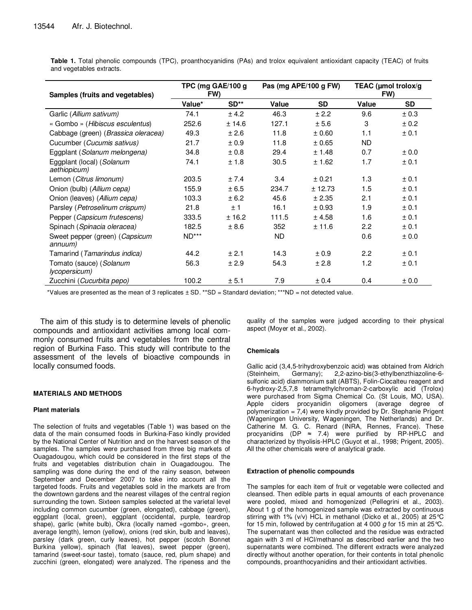**Table 1.** Total phenolic compounds (TPC), proanthocyanidins (PAs) and trolox equivalent antioxidant capacity (TEAC) of fruits and vegetables extracts.

| Samples (fruits and vegetables)                  | TPC (mg GAE/100 g<br>FW) |        | Pas (mg APE/100 g FW) |           | TEAC (µmol trolox/g<br>FW) |           |
|--------------------------------------------------|--------------------------|--------|-----------------------|-----------|----------------------------|-----------|
|                                                  | Value*                   | $SD**$ | Value                 | <b>SD</b> | Value                      | <b>SD</b> |
| Garlic (Allium sativum)                          | 74.1                     | ± 4.2  | 46.3                  | ± 2.2     | 9.6                        | ± 0.3     |
| « Gombo » (Hibiscus esculentus)                  | 252.6                    | ± 14.6 | 127.1                 | ± 5.6     | 3                          | ± 0.2     |
| Cabbage (green) (Brassica oleracea)              | 49.3                     | ± 2.6  | 11.8                  | ± 0.60    | 1.1                        | ± 0.1     |
| Cucumber (Cucumis sativus)                       | 21.7                     | ± 0.9  | 11.8                  | ± 0.65    | ND.                        |           |
| Eggplant (Solanum melongena)                     | 34.8                     | ± 0.8  | 29.4                  | ± 1.48    | 0.7                        | ± 0.0     |
| Eggplant (local) (Solanum<br>aethiopicum)        | 74.1                     | ± 1.8  | 30.5                  | ± 1.62    | 1.7                        | ± 0.1     |
| Lemon (Citrus limonum)                           | 203.5                    | ± 7.4  | 3.4                   | ± 0.21    | 1.3                        | ± 0.1     |
| Onion (bulb) (Allium cepa)                       | 155.9                    | ± 6.5  | 234.7                 | ± 12.73   | 1.5                        | ± 0.1     |
| Onion (leaves) (Allium cepa)                     | 103.3                    | ± 6.2  | 45.6                  | ± 2.35    | 2.1                        | ± 0.1     |
| Parsley (Petroselinum crispum)                   | 21.8                     | ±1     | 16.1                  | ± 0.93    | 1.9                        | ± 0.1     |
| Pepper (Capsicum frutescens)                     | 333.5                    | ± 16.2 | 111.5                 | ± 4.58    | 1.6                        | ± 0.1     |
| Spinach (Spinacia oleracea)                      | 182.5                    | ± 8.6  | 352                   | ± 11.6    | $2.2^{\circ}$              | ± 0.1     |
| Sweet pepper (green) (Capsicum<br>annuum)        | $ND***$                  |        | ND.                   |           | 0.6                        | ± 0.0     |
| Tamarind (Tamarindus indica)                     | 44.2                     | $+2.1$ | 14.3                  | ± 0.9     | $2.2^{\circ}$              | ± 0.1     |
| Tomato (sauce) (Solanum<br><i>lycopersicum</i> ) | 56.3                     | ± 2.9  | 54.3                  | ± 2.8     | 1.2                        | ± 0.1     |
| Zucchini (Cucurbita pepo)                        | 100.2                    | ± 5.1  | 7.9                   | ± 0.4     | 0.4                        | ± 0.0     |

\*Values are presented as the mean of 3 replicates ± SD. \*\*SD = Standard deviation; \*\*\*ND = not detected value.

The aim of this study is to determine levels of phenolic compounds and antioxidant activities among local commonly consumed fruits and vegetables from the central region of Burkina Faso. This study will contribute to the assessment of the levels of bioactive compounds in locally consumed foods.

## **MATERIALS AND METHODS**

## **Plant materials**

The selection of fruits and vegetables (Table 1) was based on the data of the main consumed foods in Burkina-Faso kindly provided by the National Center of Nutrition and on the harvest season of the samples. The samples were purchased from three big markets of Ouagadougou, which could be considered in the first steps of the fruits and vegetables distribution chain in Ouagadougou. The sampling was done during the end of the rainy season, between September and December 2007 to take into account all the targeted foods. Fruits and vegetables sold in the markets are from the downtown gardens and the nearest villages of the central region surrounding the town. Sixteen samples selected at the varietal level including common cucumber (green, elongated), cabbage (green), eggplant (local, green), eggplant (occidental, purple, teardrop shape), garlic (white bulb), Okra (locally named «gombo», green, average length), lemon (yellow), onions (red skin, bulb and leaves), parsley (dark green, curly leaves), hot pepper (scotch Bonnet Burkina yellow), spinach (flat leaves), sweet pepper (green), tamarind (sweet-sour taste), tomato (sauce, red, plum shape) and zucchini (green, elongated) were analyzed. The ripeness and the

quality of the samples were judged according to their physical aspect (Moyer et al., 2002).

## **Chemicals**

Gallic acid (3,4,5-trihydroxybenzoic acid) was obtained from Aldrich (Steinheim, Germany); 2,2-azino-bis(3-ethylbenzthiazoline-6 sulfonic acid) diammonium salt (ABTS), Folin-Ciocalteu reagent and 6-hydroxy-2,5,7,8 tetramethylchroman-2-carboxylic acid (Trolox) were purchased from Sigma Chemical Co. (St Louis, MO, USA). Apple ciders procyanidin oligomers (average degree of polymerization =  $7,4$ ) were kindly provided by Dr. Stephanie Prigent (Wageningen University, Wageningen, The Netherlands) and Dr. Catherine M. G. C. Renard (INRA, Rennes, France). These procyanidins (DP  $\approx$  7.4) were purified by RP-HPLC and characterized by thyolisis-HPLC (Guyot et al., 1998; Prigent, 2005). All the other chemicals were of analytical grade.

## **Extraction of phenolic compounds**

The samples for each item of fruit or vegetable were collected and cleansed. Then edible parts in equal amounts of each provenance were pooled, mixed and homogenized (Pellegrini et al., 2003). About 1 g of the homogenized sample was extracted by continuous stirring with 1% (v/v) HCL in methanol (Dicko et al., 2005) at 25°C for 15 min, followed by centrifugation at 4 000  $g$  for 15 min at 25 °C. The supernatant was then collected and the residue was extracted again with 3 ml of HCl/methanol as described earlier and the two supernatants were combined. The different extracts were analyzed directly without another operation, for their contents in total phenolic compounds, proanthocyanidins and their antioxidant activities.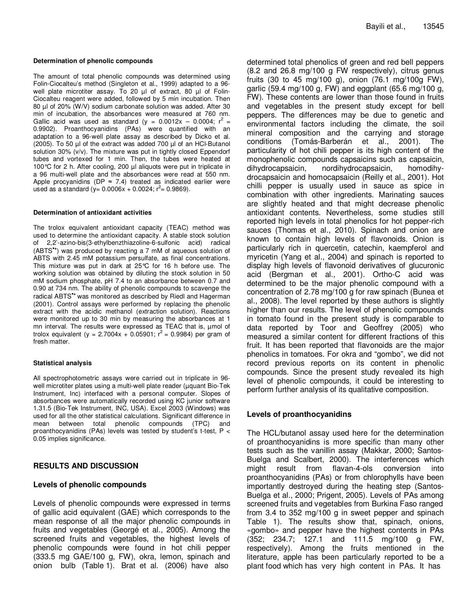The amount of total phenolic compounds was determined using Folin-Ciocalteu's method (Singleton et al., 1999) adapted to a 96 well plate microtiter assay. To 20 µl of extract, 80 µl of Folin-Ciocalteu reagent were added, followed by 5 min incubation. Then 80 µl of 20% (W/V) sodium carbonate solution was added. After 30 min of incubation, the absorbances were measured at 760 nm. Gallic acid was used as standard ( $y = 0.0012x - 0.0004$ ;  $r^2 =$ 0.9902). Proanthocyanidins (PAs) were quantified with an adaptation to a 96-well plate assay as described by Dicko et al. (2005). To 50 µl of the extract was added 700 µl of an HCl-Butanol solution 30% (v/v). The mixture was put in tightly closed Eppendorf tubes and vortexed for 1 min. Then, the tubes were heated at 100°C for 2 h. After cooling, 200 µl aliquots were put in triplicate in a 96 multi-well plate and the absorbances were read at 550 nm. Apple procyanidins (DP  $\approx$  7.4) treated as indicated earlier were used as a standard (y=  $0.0006x + 0.0024$ ;  $r^2 = 0.9869$ ).

## **Determination of antioxidant activities**

The trolox equivalent antioxidant capacity (TEAC) method was used to determine the antioxidant capacity. A stable stock solution of 2,2'-azino-bis(3-ethylbenzthiazoline-6-sulfonic acid) radical (ABTS•**<sup>+</sup>** ) was produced by reacting a 7 mM of aqueous solution of ABTS with 2.45 mM potassium persulfate, as final concentrations. This mixture was put in dark at 25°C for 16 h before use. The working solution was obtained by diluting the stock solution in 50 mM sodium phosphate, pH 7.4 to an absorbance between 0.7 and 0.90 at 734 nm. The ability of phenolic compounds to scavenge the radical ABTS•**<sup>+</sup>**was monitored as described by Riedl and Hagerman (2001). Control assays were performed by replacing the phenolic extract with the acidic methanol (extraction solution). Reactions were monitored up to 30 min by measuring the absorbances at 1 mn interval. The results were expressed as TEAC that is,  $\mu$ mol of trolox equivalent (y = 2.7004x + 0.05901;  $r^2$  = 0.9984) per gram of fresh matter.

## **Statistical analysis**

All spectrophotometric assays were carried out in triplicate in 96 well microtiter plates using a multi-well plate reader (µquant Bio-Tek Instrument, Inc) interfaced with a personal computer. Slopes of absorbances were automatically recorded using KC junior software 1.31.5 (Bio-Tek Instrument, INC, USA). Excel 2003 (Windows) was used for all the other statistical calculations. Significant difference in mean between total phenolic compounds (TPC) and proanthocyanidins (PAs) levels was tested by student's t-test, P < 0.05 implies significance.

## **RESULTS AND DISCUSSION**

## **Levels of phenolic compounds**

Levels of phenolic compounds were expressed in terms of gallic acid equivalent (GAE) which corresponds to the mean response of all the major phenolic compounds in fruits and vegetables (Georgé et al., 2005). Among the screened fruits and vegetables, the highest levels of phenolic compounds were found in hot chili pepper (333.5 mg GAE/100 g, FW), okra, lemon, spinach and onion bulb (Table 1). Brat et al. (2006) have also

determined total phenolics of green and red bell peppers (8.2 and 26.8 mg/100 g FW respectively), citrus genus fruits (30 to 45 mg/100 g), onion (76.1 mg/100g FW), garlic (59.4 mg/100 g, FW) and eggplant (65.6 mg/100 g, FW). These contents are lower than those found in fruits and vegetables in the present study except for bell peppers. The differences may be due to genetic and environmental factors including the climate, the soil mineral composition and the carrying and storage conditions (Tomás-Barberán et al., 2001). The particularity of hot chili pepper is its high content of the monophenolic compounds capsaicins such as capsaicin, dihydrocapsaicin, nordihydrocapsaicin, homodihydrocapsaicin and homocapsaicin (Reilly et al., 2001). Hot chilli pepper is usually used in sauce as spice in combination with other ingredients. Marinating sauces are slightly heated and that might decrease phenolic antioxidant contents. Nevertheless, some studies still reported high levels in total phenolics for hot pepper-rich sauces (Thomas et al., 2010). Spinach and onion are known to contain high levels of flavonoids. Onion is particularly rich in quercetin, catechin, kaempferol and myricetin (Yang et al., 2004) and spinach is reported to display high levels of flavonoid derivatives of glucuronic acid (Bergman et al., 2001). Ortho-C acid was determined to be the major phenolic compound with a concentration of 2.78 mg/100 g for raw spinach (Bunea et al., 2008). The level reported by these authors is slightly higher than our results. The level of phenolic compounds in tomato found in the present study is comparable to data reported by Toor and Geoffrey (2005) who measured a similar content for different fractions of this fruit. It has been reported that flavonoids are the major phenolics in tomatoes. For okra and "gombo", we did not record previous reports on its content in phenolic compounds. Since the present study revealed its high level of phenolic compounds, it could be interesting to perform further analysis of its qualitative composition.

## **Levels of proanthocyanidins**

The HCL/butanol assay used here for the determination of proanthocyanidins is more specific than many other tests such as the vanillin assay (Makkar, 2000; Santos-Buelga and Scalbert, 2000). The interferences which might result from flavan-4-ols conversion into proanthocyanidins (PAs) or from chlorophylls have been importantly destroyed during the heating step (Santos-Buelga et al., 2000; Prigent, 2005). Levels of PAs among screened fruits and vegetables from Burkina Faso ranged from 3.4 to 352 mg/100 g in sweet pepper and spinach Table 1). The results show that, spinach, onions, «gombo» and pepper have the highest contents in PAs (352; 234.7; 127.1 and 111.5 mg/100 g FW, respectively). Among the fruits mentioned in the literature, apple has been particularly reported to be a plant food which has very high content in PAs. It has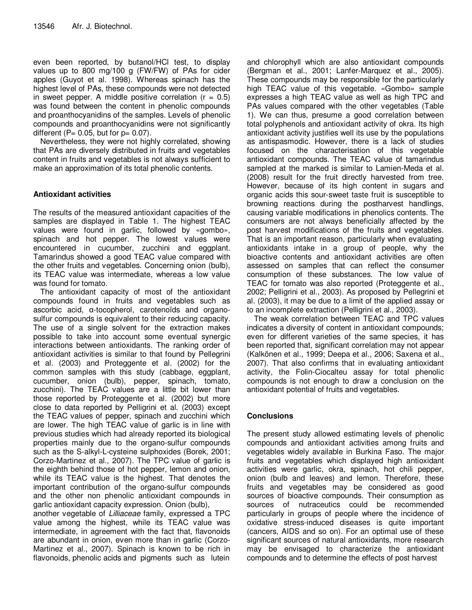even been reported, by butanol/HCl test, to display values up to 800 mg/100 g (FW/FW) of PAs for cider apples (Guyot et al. 1998). Whereas spinach has the highest level of PAs, these compounds were not detected in sweet pepper. A middle positive correlation  $(r = 0.5)$ was found between the content in phenolic compounds and proanthocyanidins of the samples. Levels of phenolic compounds and proanthocyanidins were not significantly different ( $P= 0.05$ , but for  $p= 0.07$ ).

Nevertheless, they were not highly correlated, showing that PAs are diversely distributed in fruits and vegetables content in fruits and vegetables is not always sufficient to make an approximation of its total phenolic contents.

# **Antioxidant activities**

The results of the measured antioxidant capacities of the samples are displayed in Table 1. The highest TEAC values were found in garlic, followed by «gombo», spinach and hot pepper. The lowest values were encountered in cucumber, zucchini and eggplant. Tamarindus showed a good TEAC value compared with the other fruits and vegetables. Concerning onion (bulb), its TEAC value was intermediate, whereas a low value was found for tomato.

The antioxidant capacity of most of the antioxidant compounds found in fruits and vegetables such as ascorbic acid, α-tocopherol, carotenoïds and organosulfur compounds is equivalent to their reducing capacity. The use of a single solvent for the extraction makes possible to take into account some eventual synergic interactions between antioxidants. The ranking order of antioxidant activities is similar to that found by Pellegrini et al. (2003) and Proteggente et al. (2002) for the common samples with this study (cabbage, eggplant, cucumber, onion (bulb), pepper, spinach, tomato, zucchini). The TEAC values are a little bit lower than those reported by Proteggente et al. (2002) but more close to data reported by Pelligrini et al. (2003) except the TEAC values of pepper, spinach and zucchini which are lower. The high TEAC value of garlic is in line with previous studies which had already reported its biological properties mainly due to the organo-sulfur compounds such as the S-alkyl-L-cysteine sulphoxides (Borek, 2001; Corzo-Martinez et al., 2007). The TPC value of garlic is the eighth behind those of hot pepper, lemon and onion, while its TEAC value is the highest. That denotes the important contribution of the organo-sulfur compounds and the other non phenolic antioxidant compounds in garlic antioxidant capacity expression. Onion (bulb),

another vegetable of Lilliaceae family, expressed a TPC value among the highest, while its TEAC value was intermediate, in agreement with the fact that, flavonoids are abundant in onion, even more than in garlic (Corzo-Martinez et al., 2007). Spinach is known to be rich in flavonoids, phenolic acids and pigments such as lutein

and chlorophyll which are also antioxidant compounds (Bergman et al., 2001; Lanfer-Marquez et al., 2005). These compounds may be responsible for the particularly high TEAC value of this vegetable. «Gombo» sample expresses a high TEAC value as well as high TPC and PAs values compared with the other vegetables (Table 1). We can thus, presume a good correlation between total polyphenols and antioxidant activity of okra. Its high antioxidant activity justifies well its use by the populations as antispasmodic. However, there is a lack of studies focused on the characterisation of this vegetable antioxidant compounds. The TEAC value of tamarindus sampled at the marked is similar to Lamien-Meda et al. (2008) result for the fruit directly harvested from tree. However, because of its high content in sugars and organic acids this sour-sweet taste fruit is susceptible to browning reactions during the postharvest handlings, causing variable modifications in phenolics contents. The consumers are not always beneficially affected by the post harvest modifications of the fruits and vegetables. That is an important reason, particularly when evaluating antioxidants intake in a group of people, why the bioactive contents and antioxidant activities are often assessed on samples that can reflect the consumer consumption of these substances. The low value of TEAC for tomato was also reported (Proteggente et al., 2002; Pelligrini et al., 2003). As proposed by Pellegrini et al. (2003), it may be due to a limit of the applied assay or to an incomplete extraction (Pelligrini et al., 2003).

The weak correlation between TEAC and TPC values indicates a diversity of content in antioxidant compounds; even for different varieties of the same species, it has been reported that, significant correlation may not appear (Kalkönen et al., 1999; Deepa et al., 2006; Saxena et al., 2007). That also confirms that in evaluating antioxidant activity, the Folin-Ciocalteu assay for total phenolic compounds is not enough to draw a conclusion on the antioxidant potential of fruits and vegetables.

# **Conclusions**

The present study allowed estimating levels of phenolic compounds and antioxidant activities among fruits and vegetables widely available in Burkina Faso. The major fruits and vegetables which displayed high antioxidant activities were garlic, okra, spinach, hot chili pepper, onion (bulb and leaves) and lemon. Therefore, these fruits and vegetables may be considered as good sources of bioactive compounds. Their consumption as sources of nutraceutics could be recommended particularly in groups of people where the incidence of oxidative stress-induced diseases is quite important (cancers, AIDS and so on). For an optimal use of these significant sources of natural antioxidants, more research may be envisaged to characterize the antioxidant compounds and to determine the effects of post harvest